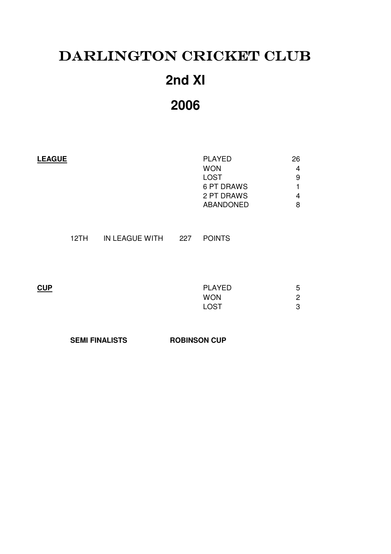# DARLINGTON CRICKET CLUB **2nd XI**

**2006**

| <b>LEAGUE</b> | <b>PLAYED</b>    | 26 |
|---------------|------------------|----|
|               | <b>WON</b>       | 4  |
|               | <b>LOST</b>      | 9  |
|               | 6 PT DRAWS       |    |
|               | 2 PT DRAWS       | 4  |
|               | <b>ABANDONED</b> | 8  |
|               |                  |    |

12TH IN LEAGUE WITH 227 POINTS

| CUP | <b>PLAYED</b> | 5              |
|-----|---------------|----------------|
|     | <b>WON</b>    | $\overline{c}$ |
|     | <b>LOST</b>   | 3              |
|     |               |                |

SEMI FINALISTS ROBINSON CUP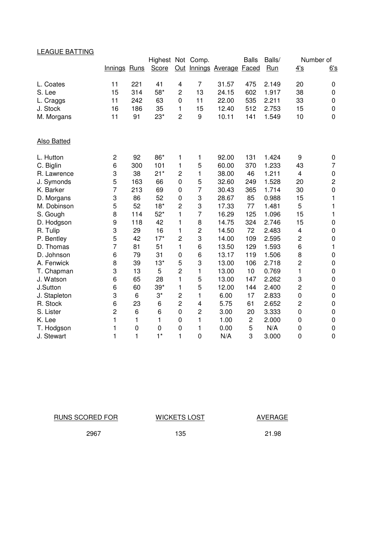# LEAGUE BATTING

|                    |                |             | Highest Not Comp. |                         |                         |                           | <b>Balls</b>            | Balls/     | Number of               |                |
|--------------------|----------------|-------------|-------------------|-------------------------|-------------------------|---------------------------|-------------------------|------------|-------------------------|----------------|
|                    | Innings Runs   |             | Score             |                         |                         | Out Innings Average Faced |                         | <b>Run</b> | 4's                     | 6's            |
| L. Coates          | 11             | 221         | 41                | $\overline{\mathbf{4}}$ | $\overline{7}$          | 31.57                     | 475                     | 2.149      | 20                      | 0              |
| S. Lee             | 15             | 314         | 58*               | $\overline{c}$          | 13                      | 24.15                     | 602                     | 1.917      | 38                      | 0              |
| L. Craggs          | 11             | 242         | 63                | $\mathbf 0$             | 11                      | 22.00                     | 535                     | 2.211      | 33                      | 0              |
| J. Stock           | 16             | 186         | 35                | 1                       | 15                      | 12.40                     | 512                     | 2.753      | 15                      | 0              |
| M. Morgans         | 11             | 91          | $23*$             | $\overline{c}$          | 9                       | 10.11                     | 141                     | 1.549      | 10                      | 0              |
|                    |                |             |                   |                         |                         |                           |                         |            |                         |                |
| <b>Also Batted</b> |                |             |                   |                         |                         |                           |                         |            |                         |                |
| L. Hutton          | $\overline{c}$ | 92          | 86*               | 1                       | 1                       | 92.00                     | 131                     | 1.424      | 9                       | 0              |
| C. Biglin          | 6              | 300         | 101               | 1                       | 5                       | 60.00                     | 370                     | 1.233      | 43                      | 7              |
| R. Lawrence        | 3              | 38          | $21*$             | $\overline{c}$          | 1                       | 38.00                     | 46                      | 1.211      | $\overline{\mathbf{4}}$ | 0              |
| J. Symonds         | 5              | 163         | 66                | $\overline{0}$          | 5                       | 32.60                     | 249                     | 1.528      | 20                      | $\overline{c}$ |
| K. Barker          | 7              | 213         | 69                | $\mathbf 0$             | $\overline{7}$          | 30.43                     | 365                     | 1.714      | 30                      | $\pmb{0}$      |
| D. Morgans         | 3              | 86          | 52                | $\mathbf 0$             | 3                       | 28.67                     | 85                      | 0.988      | 15                      | 1              |
| M. Dobinson        | 5              | 52          | $18*$             | $\overline{c}$          | 3                       | 17.33                     | 77                      | 1.481      | 5                       | 1              |
| S. Gough           | 8              | 114         | $52*$             | 1                       | $\overline{7}$          | 16.29                     | 125                     | 1.096      | 15                      | 1              |
| D. Hodgson         | 9              | 118         | 42                | 1                       | 8                       | 14.75                     | 324                     | 2.746      | 15                      | 0              |
| R. Tulip           | 3              | 29          | 16                | 1                       | $\overline{c}$          | 14.50                     | 72                      | 2.483      | 4                       | 0              |
| P. Bentley         | 5              | 42          | $17*$             | $\overline{2}$          | 3                       | 14.00                     | 109                     | 2.595      | $\overline{\mathbf{c}}$ | 0              |
| D. Thomas          | $\overline{7}$ | 81          | 51                | 1                       | 6                       | 13.50                     | 129                     | 1.593      | 6                       | 1              |
| D. Johnson         | 6              | 79          | 31                | $\mathbf 0$             | 6                       | 13.17                     | 119                     | 1.506      | 8                       | 0              |
| A. Fenwick         | 8              | 39          | $13*$             | 5                       | 3                       | 13.00                     | 106                     | 2.718      | $\overline{c}$          | 0              |
| T. Chapman         | 3              | 13          | 5                 | $\overline{2}$          | 1                       | 13.00                     | 10                      | 0.769      | $\mathbf{1}$            | 0              |
| J. Watson          | 6              | 65          | 28                | 1                       | 5                       | 13.00                     | 147                     | 2.262      | 3                       | 0              |
| J.Sutton           | 6              | 60          | $39*$             | 1                       | 5                       | 12.00                     | 144                     | 2.400      | 2                       | 0              |
| J. Stapleton       | 3              | 6           | $3^\star$         | $\overline{c}$          | 1                       | 6.00                      | 17                      | 2.833      | $\mathbf 0$             | 0              |
| R. Stock           | 6              | 23          | 6                 | $\overline{2}$          | 4                       | 5.75                      | 61                      | 2.652      | $\overline{c}$          | 0              |
| S. Lister          | $\overline{c}$ | 6           | 6                 | $\overline{0}$          | $\overline{\mathbf{c}}$ | 3.00                      | 20                      | 3.333      | $\mathbf 0$             | 0              |
| K. Lee             | 1              | 1           | 1                 | $\mathbf 0$             | 1                       | 1.00                      | $\overline{\mathbf{c}}$ | 2.000      | 0                       | 0              |
| T. Hodgson         | 1              | $\mathbf 0$ | $\mathbf 0$       | $\Omega$                | 1                       | 0.00                      | 5                       | N/A        | $\mathbf 0$             | 0              |
| J. Stewart         | 1              | 1           | $1*$              | 1                       | 0                       | N/A                       | 3                       | 3.000      | $\mathbf 0$             | 0              |

| RUNS SCORED FOR | <b>WICKETS LOST</b> | AVERAGE |
|-----------------|---------------------|---------|
| 2967            | 135                 | 21.98   |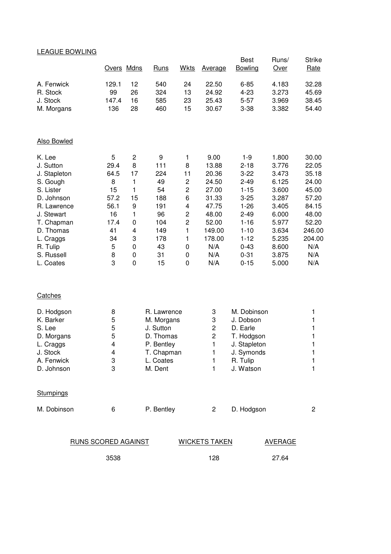| <b>LEAGUE BOWLING</b>      |            |                              |                         |                         |                      |                            |                |                       |
|----------------------------|------------|------------------------------|-------------------------|-------------------------|----------------------|----------------------------|----------------|-----------------------|
|                            | Overs Mdns |                              | Runs                    | <b>Wkts</b>             | <b>Average</b>       | <b>Best</b><br>Bowling     | Runs/<br>Over  | <b>Strike</b><br>Rate |
|                            |            |                              |                         |                         |                      |                            |                |                       |
| A. Fenwick                 | 129.1      | 12                           | 540                     | 24                      | 22.50                | $6 - 85$                   | 4.183          | 32.28                 |
| R. Stock                   | 99         | 26                           | 324                     | 13                      | 24.92                | $4 - 23$                   | 3.273          | 45.69                 |
| J. Stock                   | 147.4      | 16                           | 585                     | 23                      | 25.43                | $5 - 57$                   | 3.969          | 38.45                 |
| M. Morgans                 | 136        | 28                           | 460                     | 15                      | 30.67                | $3 - 38$                   | 3.382          | 54.40                 |
| Also Bowled                |            |                              |                         |                         |                      |                            |                |                       |
|                            |            |                              |                         |                         |                      |                            |                |                       |
| K. Lee<br>J. Sutton        | 5<br>29.4  | $\overline{\mathbf{c}}$<br>8 | 9<br>111                | 1<br>8                  | 9.00                 | $1 - 9$<br>$2 - 18$        | 1.800<br>3.776 | 30.00<br>22.05        |
| J. Stapleton               | 64.5       | 17                           | 224                     | 11                      | 13.88<br>20.36       | $3 - 22$                   | 3.473          | 35.18                 |
| S. Gough                   | 8          | 1                            | 49                      | $\mathbf 2$             | 24.50                | $2 - 49$                   | 6.125          | 24.00                 |
| S. Lister                  | 15         | 1                            | 54                      | $\overline{\mathbf{c}}$ | 27.00                | $1 - 15$                   | 3.600          | 45.00                 |
| D. Johnson                 | 57.2       | 15                           | 188                     | 6                       | 31.33                | $3 - 25$                   | 3.287          | 57.20                 |
| R. Lawrence                | 56.1       | 9                            | 191                     | 4                       | 47.75                | $1 - 26$                   | 3.405          | 84.15                 |
| J. Stewart                 | 16         | 1                            | 96                      | $\overline{\mathbf{c}}$ | 48.00                | $2 - 49$                   | 6.000          | 48.00                 |
| T. Chapman                 | 17.4       | 0                            | 104                     | $\overline{\mathbf{c}}$ | 52.00                | $1 - 16$                   | 5.977          | 52.20                 |
| D. Thomas                  | 41         | 4                            | 149                     | 1                       | 149.00               | $1 - 10$                   | 3.634          | 246.00                |
| L. Craggs                  | 34         | 3                            | 178                     | 1                       | 178.00               | $1 - 12$                   | 5.235          | 204.00                |
| R. Tulip<br>S. Russell     | 5<br>8     | 0<br>0                       | 43<br>31                | $\pmb{0}$<br>0          | N/A<br>N/A           | $0 - 43$<br>$0 - 31$       | 8.600<br>3.875 | N/A<br>N/A            |
| L. Coates                  | 3          | 0                            | 15                      | 0                       | N/A                  | $0 - 15$                   | 5.000          | N/A                   |
|                            |            |                              |                         |                         |                      |                            |                |                       |
| Catches                    |            |                              |                         |                         |                      |                            |                |                       |
| D. Hodgson                 | 8          |                              | R. Lawrence             |                         | 3                    | M. Dobinson                |                | 1                     |
| K. Barker                  | 5          |                              | M. Morgans              |                         | 3                    | J. Dobson                  |                | 1                     |
| S. Lee                     | 5          |                              | J. Sutton               |                         | 2                    | D. Earle                   |                | 1                     |
| D. Morgans                 | 5          |                              | D. Thomas<br>P. Bentley |                         | $\overline{c}$       | T. Hodgson                 |                | 1                     |
| L. Craggs<br>J. Stock      | 4<br>4     |                              | T. Chapman              |                         | 1<br>1               | J. Stapleton<br>J. Symonds |                | 1<br>1                |
| A. Fenwick                 | 3          |                              | L. Coates               |                         | 1                    | R. Tulip                   |                | 1                     |
| D. Johnson                 | 3          |                              | M. Dent                 |                         | 1                    | J. Watson                  |                | 1                     |
| <b>Stumpings</b>           |            |                              |                         |                         |                      |                            |                |                       |
| M. Dobinson                | 6          |                              | P. Bentley              |                         | $\overline{2}$       | D. Hodgson                 |                | $\overline{c}$        |
|                            |            |                              |                         |                         |                      |                            |                |                       |
| <b>RUNS SCORED AGAINST</b> |            |                              |                         |                         | <b>WICKETS TAKEN</b> |                            | <b>AVERAGE</b> |                       |
|                            | 3538       |                              |                         |                         | 128                  |                            | 27.64          |                       |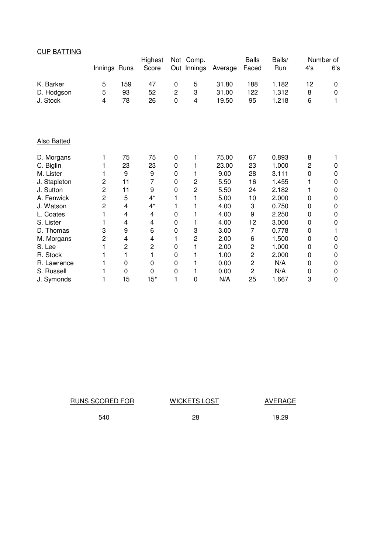| <b>CUP BATTING</b> |                         |     |                |                |                |         |                |        |                |             |
|--------------------|-------------------------|-----|----------------|----------------|----------------|---------|----------------|--------|----------------|-------------|
|                    |                         |     | Highest        |                | Not Comp.      |         | <b>Balls</b>   | Balls/ |                | Number of   |
|                    | Innings Runs            |     | Score          | Out            | Innings        | Average | Faced          | Run    | 4's            | 6's         |
| K. Barker          | 5                       | 159 | 47             | 0              | 5              | 31.80   | 188            | 1.182  | 12             | 0           |
| D. Hodgson         | 5                       | 93  | 52             | $\overline{c}$ | 3              | 31.00   | 122            | 1.312  | 8              | $\mathbf 0$ |
| J. Stock           | 4                       | 78  | 26             | $\mathbf 0$    | 4              | 19.50   | 95             | 1.218  | 6              | 1           |
|                    |                         |     |                |                |                |         |                |        |                |             |
| <b>Also Batted</b> |                         |     |                |                |                |         |                |        |                |             |
| D. Morgans         | 1                       | 75  | 75             | 0              | 1              | 75.00   | 67             | 0.893  | 8              | 1           |
| C. Biglin          | 1                       | 23  | 23             | 0              |                | 23.00   | 23             | 1.000  | $\overline{c}$ | $\pmb{0}$   |
| M. Lister          | 1                       | 9   | 9              | 0              | 1              | 9.00    | 28             | 3.111  | 0              | $\pmb{0}$   |
| J. Stapleton       | $\overline{\mathbf{c}}$ | 11  | 7              | 0              | $\overline{2}$ | 5.50    | 16             | 1.455  |                | $\pmb{0}$   |
| J. Sutton          | 2                       | 11  | 9              | 0              | $\overline{c}$ | 5.50    | 24             | 2.182  | 1              | $\pmb{0}$   |
| A. Fenwick         | $\overline{c}$          | 5   | $4^*$          | 1              |                | 5.00    | 10             | 2.000  | 0              | $\pmb{0}$   |
| J. Watson          | $\overline{c}$          | 4   | $4^*$          | 1              |                | 4.00    | 3              | 0.750  | 0              | $\mathbf 0$ |
| L. Coates          | 1                       | 4   | 4              | 0              | 1              | 4.00    | 9              | 2.250  | 0              | $\pmb{0}$   |
| S. Lister          | 1                       | 4   | 4              | 0              | 1              | 4.00    | 12             | 3.000  | 0              | $\mathbf 0$ |
| D. Thomas          | 3                       | 9   | 6              | 0              | 3              | 3.00    | 7              | 0.778  | 0              | 1           |
| M. Morgans         | $\overline{c}$          | 4   | 4              | 1              | $\overline{c}$ | 2.00    | 6              | 1.500  | 0              | $\pmb{0}$   |
| S. Lee             | 1                       | 2   | $\overline{c}$ | 0              | 1              | 2.00    | 2              | 1.000  | 0              | $\pmb{0}$   |
| R. Stock           | 1                       | 1   | 1              | $\mathbf 0$    |                | 1.00    | $\overline{c}$ | 2.000  | 0              | $\pmb{0}$   |
| R. Lawrence        | 1                       | 0   | 0              | 0              | 1              | 0.00    | $\overline{2}$ | N/A    | 0              | $\mathbf 0$ |
| S. Russell         | 1                       | 0   | 0              | 0              | 1              | 0.00    | 2              | N/A    | 0              | $\pmb{0}$   |
| J. Symonds         | 1                       | 15  | $15*$          | 1              | 0              | N/A     | 25             | 1.667  | 3              | $\mathbf 0$ |

| RUNS SCORED FOR | <b>WICKETS LOST</b> | AVERAGE |
|-----------------|---------------------|---------|
| 540             | 28                  | 19.29   |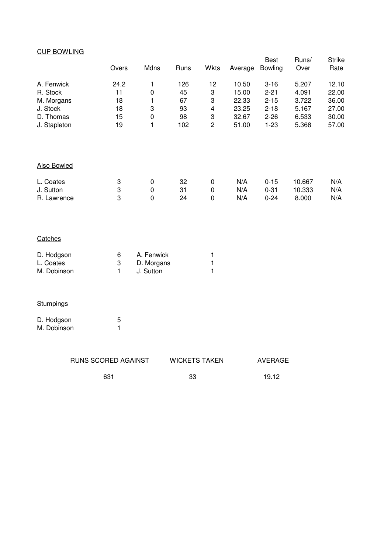# CUP BOWLING

|                                                                               | Overs                              | <b>Mdns</b>                                                  | Runs                               | <b>Wkts</b>                                                    | Average                                            | <b>Best</b><br>Bowling                                               | Runs/<br>Over                                      | <b>Strike</b><br>Rate                              |
|-------------------------------------------------------------------------------|------------------------------------|--------------------------------------------------------------|------------------------------------|----------------------------------------------------------------|----------------------------------------------------|----------------------------------------------------------------------|----------------------------------------------------|----------------------------------------------------|
| A. Fenwick<br>R. Stock<br>M. Morgans<br>J. Stock<br>D. Thomas<br>J. Stapleton | 24.2<br>11<br>18<br>18<br>15<br>19 | 1<br>$\pmb{0}$<br>1<br>3<br>$\boldsymbol{0}$<br>$\mathbf{1}$ | 126<br>45<br>67<br>93<br>98<br>102 | 12<br>3<br>3<br>$\overline{\mathbf{4}}$<br>3<br>$\overline{c}$ | 10.50<br>15.00<br>22.33<br>23.25<br>32.67<br>51.00 | $3 - 16$<br>$2 - 21$<br>$2 - 15$<br>$2 - 18$<br>$2 - 26$<br>$1 - 23$ | 5.207<br>4.091<br>3.722<br>5.167<br>6.533<br>5.368 | 12.10<br>22.00<br>36.00<br>27.00<br>30.00<br>57.00 |
| <b>Also Bowled</b>                                                            |                                    |                                                              |                                    |                                                                |                                                    |                                                                      |                                                    |                                                    |
| L. Coates<br>J. Sutton<br>R. Lawrence                                         | 3<br>3<br>3                        | $\pmb{0}$<br>$\boldsymbol{0}$<br>0                           | 32<br>31<br>24                     | $\pmb{0}$<br>$\pmb{0}$<br>0                                    | N/A<br>N/A<br>N/A                                  | $0 - 15$<br>$0 - 31$<br>$0 - 24$                                     | 10.667<br>10.333<br>8.000                          | N/A<br>N/A<br>N/A                                  |
| Catches                                                                       |                                    |                                                              |                                    |                                                                |                                                    |                                                                      |                                                    |                                                    |
| D. Hodgson<br>L. Coates<br>M. Dobinson                                        | 6<br>3<br>1                        | A. Fenwick<br>D. Morgans<br>J. Sutton                        |                                    | 1<br>1<br>1                                                    |                                                    |                                                                      |                                                    |                                                    |
| Stumpings                                                                     |                                    |                                                              |                                    |                                                                |                                                    |                                                                      |                                                    |                                                    |
| D. Hodgoon                                                                    | Е                                  |                                                              |                                    |                                                                |                                                    |                                                                      |                                                    |                                                    |

| D. Hodgson  | 5 |
|-------------|---|
| M. Dobinson |   |

| <b>RUNS SCORED AGAINST</b> | <b>WICKETS TAKEN</b> | AVERAGE |
|----------------------------|----------------------|---------|
| 631                        | 33                   | 19.12   |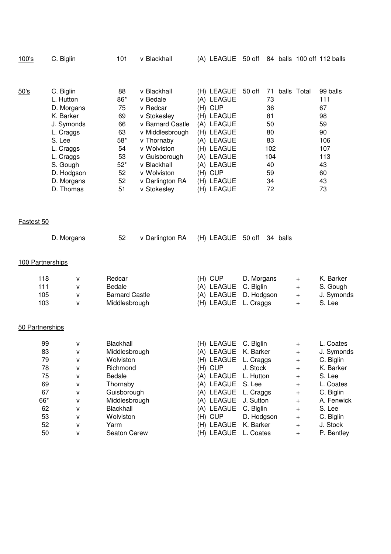| 100's            | C. Biglin                                                                                                                                                             | 101                                                                               | v Blackhall                                                                                                                                                                                             |                    | (A) LEAGUE                                                                                                                                             |                         |                                                                              |                        | 50 off 84 balls 100 off 112 balls                                                    |
|------------------|-----------------------------------------------------------------------------------------------------------------------------------------------------------------------|-----------------------------------------------------------------------------------|---------------------------------------------------------------------------------------------------------------------------------------------------------------------------------------------------------|--------------------|--------------------------------------------------------------------------------------------------------------------------------------------------------|-------------------------|------------------------------------------------------------------------------|------------------------|--------------------------------------------------------------------------------------|
| 50's             | C. Biglin<br>L. Hutton<br>D. Morgans<br>K. Barker<br>J. Symonds<br>L. Craggs<br>S. Lee<br>L. Craggs<br>L. Craggs<br>S. Gough<br>D. Hodgson<br>D. Morgans<br>D. Thomas | 88<br>86*<br>75<br>69<br>66<br>63<br>$58*$<br>54<br>53<br>$52*$<br>52<br>52<br>51 | v Blackhall<br>v Bedale<br>v Redcar<br>v Stokesley<br>v Barnard Castle<br>v Middlesbrough<br>v Thornaby<br>v Wolviston<br>v Guisborough<br>v Blackhall<br>v Wolviston<br>v Darlington RA<br>v Stokesley | (H) CUP<br>(H) CUP | (H) LEAGUE<br>(A) LEAGUE<br>(H) LEAGUE<br>(A) LEAGUE<br>(H) LEAGUE<br>(A) LEAGUE<br>(H) LEAGUE<br>(A) LEAGUE<br>(A) LEAGUE<br>(H) LEAGUE<br>(H) LEAGUE | 50 off                  | 71<br>73<br>36<br>81<br>50<br>80<br>83<br>102<br>104<br>40<br>59<br>34<br>72 | balls Total            | 99 balls<br>111<br>67<br>98<br>59<br>90<br>106<br>107<br>113<br>43<br>60<br>43<br>73 |
| Fastest 50       |                                                                                                                                                                       |                                                                                   |                                                                                                                                                                                                         |                    |                                                                                                                                                        |                         |                                                                              |                        |                                                                                      |
|                  | D. Morgans                                                                                                                                                            | 52                                                                                | v Darlington RA                                                                                                                                                                                         |                    | (H) LEAGUE                                                                                                                                             | 50 off                  | 34 balls                                                                     |                        |                                                                                      |
| 100 Partnerships |                                                                                                                                                                       |                                                                                   |                                                                                                                                                                                                         |                    |                                                                                                                                                        |                         |                                                                              |                        |                                                                                      |
| 118              | v                                                                                                                                                                     | Redcar                                                                            |                                                                                                                                                                                                         | (H) CUP            |                                                                                                                                                        | D. Morgans              |                                                                              | $\ddot{}$              | K. Barker                                                                            |
| 111<br>105       | v<br>v                                                                                                                                                                | Bedale<br><b>Barnard Castle</b>                                                   |                                                                                                                                                                                                         |                    | (A) LEAGUE<br>(A) LEAGUE                                                                                                                               | C. Biglin<br>D. Hodgson |                                                                              | $\ddot{}$<br>$\ddot{}$ | S. Gough<br>J. Symonds                                                               |
| 103              | v                                                                                                                                                                     | Middlesbrough                                                                     |                                                                                                                                                                                                         |                    | (H) LEAGUE                                                                                                                                             | L. Craggs               |                                                                              | $\ddot{}$              | S. Lee                                                                               |
| 50 Partnerships  |                                                                                                                                                                       |                                                                                   |                                                                                                                                                                                                         |                    |                                                                                                                                                        |                         |                                                                              |                        |                                                                                      |
| 99               | v                                                                                                                                                                     | Blackhall                                                                         |                                                                                                                                                                                                         |                    | (H) LEAGUE                                                                                                                                             | C. Biglin               |                                                                              | $\ddot{}$              | L. Coates                                                                            |
| 83               | v                                                                                                                                                                     | Middlesbrough                                                                     |                                                                                                                                                                                                         |                    | (A) LEAGUE                                                                                                                                             | K. Barker               |                                                                              | $\pmb{+}$              | J. Symonds                                                                           |
| 79               | v                                                                                                                                                                     | Wolviston                                                                         |                                                                                                                                                                                                         |                    | (H) LEAGUE                                                                                                                                             | L. Craggs               |                                                                              | $\ddot{}$              | C. Biglin                                                                            |
| 78               | v                                                                                                                                                                     | Richmond                                                                          |                                                                                                                                                                                                         |                    | (H) CUP                                                                                                                                                | J. Stock                |                                                                              | $\pmb{+}$              | K. Barker                                                                            |
| 75               | v                                                                                                                                                                     | Bedale                                                                            |                                                                                                                                                                                                         |                    | (A) LEAGUE                                                                                                                                             | L. Hutton               |                                                                              | $\pmb{+}$              | S. Lee                                                                               |
| 69               | v                                                                                                                                                                     | Thornaby                                                                          |                                                                                                                                                                                                         | (A)                | LEAGUE                                                                                                                                                 | S. Lee                  |                                                                              | $\pmb{+}$              | L. Coates                                                                            |
| 67               | v                                                                                                                                                                     | Guisborough                                                                       |                                                                                                                                                                                                         |                    | (A) LEAGUE                                                                                                                                             | L. Craggs               |                                                                              | $\pmb{+}$              | C. Biglin                                                                            |
| 66*              | v                                                                                                                                                                     | Middlesbrough                                                                     |                                                                                                                                                                                                         |                    | (A) LEAGUE                                                                                                                                             | J. Sutton               |                                                                              | $\ddot{}$              | A. Fenwick                                                                           |
| 62               | v                                                                                                                                                                     | Blackhall                                                                         |                                                                                                                                                                                                         |                    | (A) LEAGUE                                                                                                                                             | C. Biglin               |                                                                              | $\ddot{}$              | S. Lee                                                                               |
| 53<br>52         | v                                                                                                                                                                     | Wolviston<br>Yarm                                                                 |                                                                                                                                                                                                         |                    | (H) CUP<br>(H) LEAGUE                                                                                                                                  | D. Hodgson<br>K. Barker |                                                                              | $\pmb{+}$              | C. Biglin<br>J. Stock                                                                |
| 50               | v<br>v                                                                                                                                                                | Seaton Carew                                                                      |                                                                                                                                                                                                         |                    | (H) LEAGUE                                                                                                                                             | L. Coates               |                                                                              | $\pmb{+}$<br>$\ddot{}$ | P. Bentley                                                                           |
|                  |                                                                                                                                                                       |                                                                                   |                                                                                                                                                                                                         |                    |                                                                                                                                                        |                         |                                                                              |                        |                                                                                      |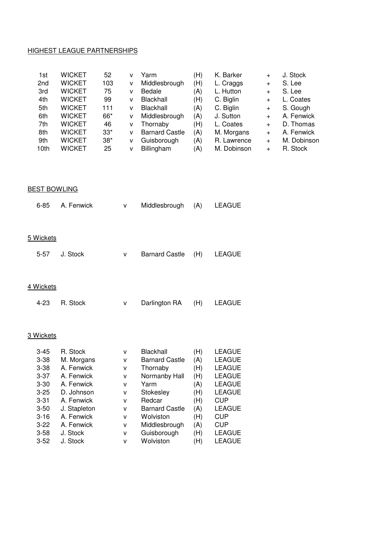#### HIGHEST LEAGUE PARTNERSHIPS

| 1st             | <b>WICKET</b> | 52    | v | Yarm                  | (H) | K. Barker   | $\ddot{}$ | J. Stock    |
|-----------------|---------------|-------|---|-----------------------|-----|-------------|-----------|-------------|
| 2 <sub>nd</sub> | <b>WICKET</b> | 103   | v | Middlesbrough         | (H) | L. Craggs   | $\ddot{}$ | S. Lee      |
| 3rd             | <b>WICKET</b> | 75    | v | Bedale                | (A) | L. Hutton   | $\ddot{}$ | S. Lee      |
| 4th             | <b>WICKET</b> | 99    | v | Blackhall             | (H) | C. Biglin   | $\ddot{}$ | L. Coates   |
| 5th             | <b>WICKET</b> | 111   | v | Blackhall             | (A) | C. Biglin   | $\ddot{}$ | S. Gough    |
| 6th             | <b>WICKET</b> | 66*   | v | Middlesbrough         | (A) | J. Sutton   | $\ddot{}$ | A. Fenwick  |
| 7th             | <b>WICKET</b> | 46    | v | Thornaby              | (H) | L. Coates   | $\ddot{}$ | D. Thomas   |
| 8th             | <b>WICKET</b> | $33*$ | v | <b>Barnard Castle</b> | (A) | M. Morgans  | $\ddot{}$ | A. Fenwick  |
| 9th             | <b>WICKET</b> | $38*$ | v | Guisborough           | (A) | R. Lawrence | $\ddot{}$ | M. Dobinson |
| 10th            | <b>WICKET</b> | 25    | v | Billingham            | (A) | M. Dobinson | $\div$    | R. Stock    |

#### **BEST BOWLING**

| $6 - 85$         | A. Fenwick | v | Middlesbrough         | (A) | <b>LEAGUE</b> |
|------------------|------------|---|-----------------------|-----|---------------|
|                  |            |   |                       |     |               |
| <u>5 Wickets</u> |            |   |                       |     |               |
| $5 - 57$         | J. Stock   | v | <b>Barnard Castle</b> | (H) | LEAGUE        |
|                  |            |   |                       |     |               |
| 4 Wickets        |            |   |                       |     |               |
| $4 - 23$         | R. Stock   | v | Darlington RA         | (H) | LEAGUE        |
|                  |            |   |                       |     |               |
| 3 Wickets        |            |   |                       |     |               |
| $3 - 45$         | R. Stock   | v | Blackhall             | (H) | <b>LEAGUE</b> |
| $3 - 38$         | M. Morgans | v | <b>Barnard Castle</b> | (A) | <b>LEAGUE</b> |
| $3 - 38$         | A. Fenwick | v | Thornaby              | (H) | <b>LEAGUE</b> |
| $3-37$           | A. Fenwick | v | Normanby Hall         | (H) | <b>LEAGUE</b> |
| $3 - 30$         | A. Fenwick | v | Yarm                  | (A) | <b>LEAGUE</b> |

| $3 - 37$ | A. Fenwick   | v | Normanby Hall         | (H) | <b>LEAGUE</b> |
|----------|--------------|---|-----------------------|-----|---------------|
| $3 - 30$ | A. Fenwick   | v | Yarm                  | (A) | <b>LEAGUE</b> |
| $3 - 25$ | D. Johnson   | v | Stokesley             | (H) | <b>LEAGUE</b> |
| $3 - 31$ | A. Fenwick   | v | Redcar                | (H) | <b>CUP</b>    |
| $3 - 50$ | J. Stapleton | v | <b>Barnard Castle</b> | (A) | <b>LEAGUE</b> |
| $3 - 16$ | A. Fenwick   | v | Wolviston             | (H) | <b>CUP</b>    |
| $3 - 22$ | A. Fenwick   | v | Middlesbrough         | (A) | <b>CUP</b>    |
| $3 - 58$ | J. Stock     | v | Guisborough           | (H) | <b>LEAGUE</b> |
| $3 - 52$ | J. Stock     | v | Wolviston             | (H) | <b>LEAGUE</b> |